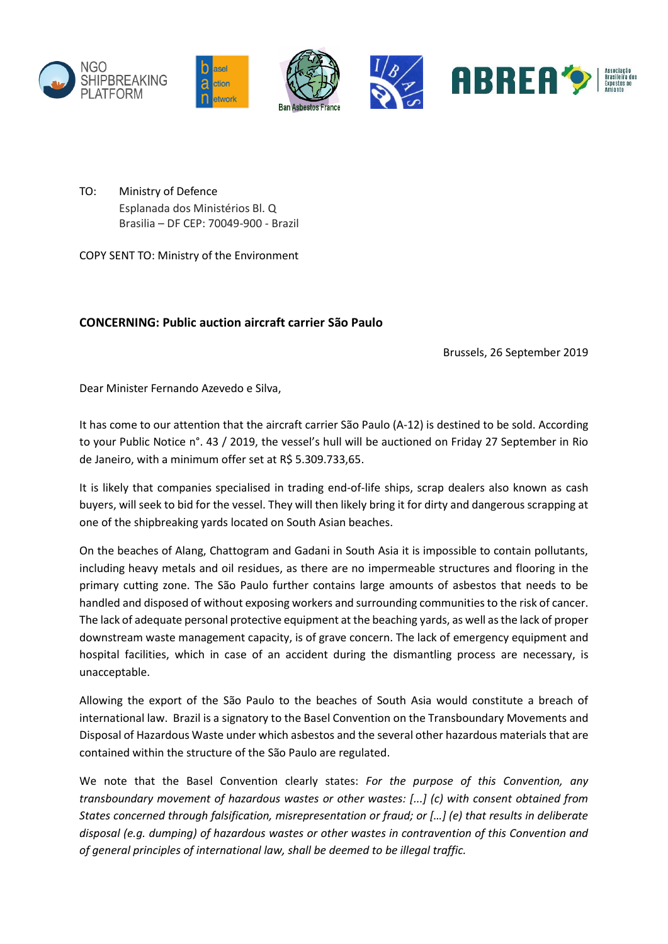

TO: Ministry of Defence Esplanada dos Ministérios Bl. Q Brasilia – DF CEP: 70049-900 - Brazil

COPY SENT TO: Ministry of the Environment

## **CONCERNING: Public auction aircraft carrier São Paulo**

Brussels, 26 September 2019

Dear Minister Fernando Azevedo e Silva,

It has come to our attention that the aircraft carrier São Paulo (A-12) is destined to be sold. According to your Public Notice n°. 43 / 2019, the vessel's hull will be auctioned on Friday 27 September in Rio de Janeiro, with a minimum offer set at R\$ 5.309.733,65.

It is likely that companies specialised in trading end-of-life ships, scrap dealers also known as cash buyers, will seek to bid for the vessel. They will then likely bring it for dirty and dangerous scrapping at one of the shipbreaking yards located on South Asian beaches.

On the beaches of Alang, Chattogram and Gadani in South Asia it is impossible to contain pollutants, including heavy metals and oil residues, as there are no impermeable structures and flooring in the primary cutting zone. The São Paulo further contains large amounts of asbestos that needs to be handled and disposed of without exposing workers and surrounding communities to the risk of cancer. The lack of adequate personal protective equipment at the beaching yards, as well as the lack of proper downstream waste management capacity, is of grave concern. The lack of emergency equipment and hospital facilities, which in case of an accident during the dismantling process are necessary, is unacceptable.

Allowing the export of the São Paulo to the beaches of South Asia would constitute a breach of international law. Brazil is a signatory to the Basel Convention on the Transboundary Movements and Disposal of Hazardous Waste under which asbestos and the several other hazardous materials that are contained within the structure of the São Paulo are regulated.

We note that the Basel Convention clearly states: *For the purpose of this Convention, any transboundary movement of hazardous wastes or other wastes: [...] (c) with consent obtained from States concerned through falsification, misrepresentation or fraud; or […] (e) that results in deliberate disposal (e.g. dumping) of hazardous wastes or other wastes in contravention of this Convention and of general principles of international law, shall be deemed to be illegal traffic.*